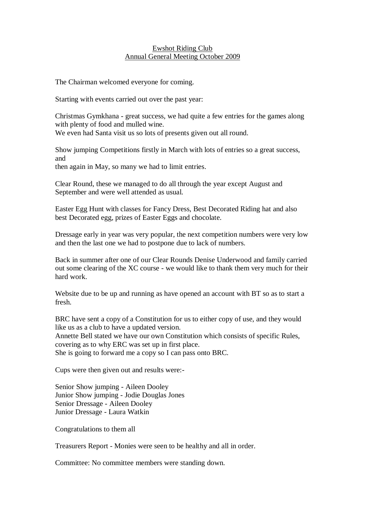## Ewshot Riding Club Annual General Meeting October 2009

The Chairman welcomed everyone for coming.

Starting with events carried out over the past year:

Christmas Gymkhana - great success, we had quite a few entries for the games along with plenty of food and mulled wine.

We even had Santa visit us so lots of presents given out all round.

Show jumping Competitions firstly in March with lots of entries so a great success, and

then again in May, so many we had to limit entries.

Clear Round, these we managed to do all through the year except August and September and were well attended as usual.

Easter Egg Hunt with classes for Fancy Dress, Best Decorated Riding hat and also best Decorated egg, prizes of Easter Eggs and chocolate.

Dressage early in year was very popular, the next competition numbers were very low and then the last one we had to postpone due to lack of numbers.

Back in summer after one of our Clear Rounds Denise Underwood and family carried out some clearing of the XC course - we would like to thank them very much for their hard work.

Website due to be up and running as have opened an account with BT so as to start a fresh.

BRC have sent a copy of a Constitution for us to either copy of use, and they would like us as a club to have a updated version.

Annette Bell stated we have our own Constitution which consists of specific Rules, covering as to why ERC was set up in first place.

She is going to forward me a copy so I can pass onto BRC.

Cups were then given out and results were:-

Senior Show jumping - Aileen Dooley Junior Show jumping - Jodie Douglas Jones Senior Dressage - Aileen Dooley Junior Dressage - Laura Watkin

Congratulations to them all

Treasurers Report - Monies were seen to be healthy and all in order.

Committee: No committee members were standing down.